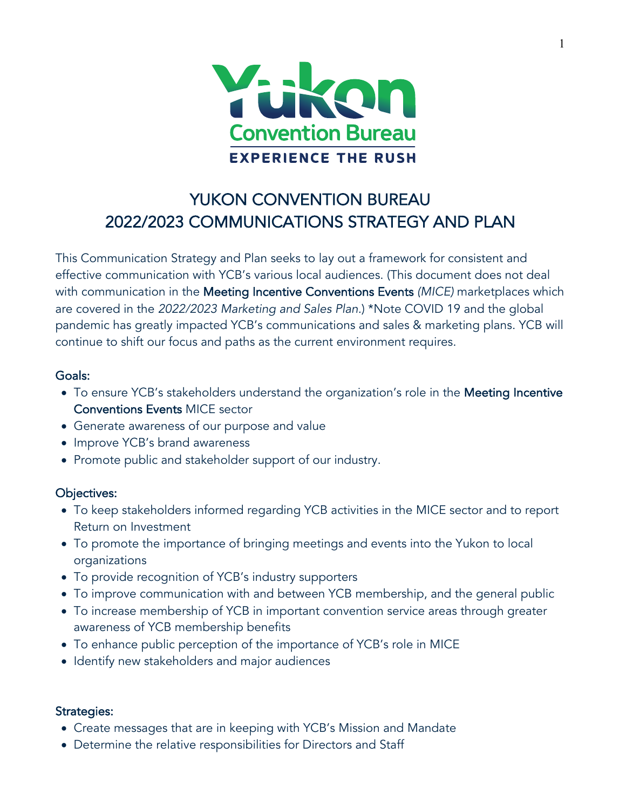

# YUKON CONVENTION BUREAU 2022/2023 COMMUNICATIONS STRATEGY AND PLAN

This Communication Strategy and Plan seeks to lay out a framework for consistent and effective communication with YCB's various local audiences. (This document does not deal with communication in the Meeting Incentive Conventions Events *(MICE)* marketplaces which are covered in the *2022/2023 Marketing and Sales Plan.*) \*Note COVID 19 and the global pandemic has greatly impacted YCB's communications and sales & marketing plans. YCB will continue to shift our focus and paths as the current environment requires.

# Goals:

- To ensure YCB's stakeholders understand the organization's role in the Meeting Incentive Conventions Events MICE sector
- Generate awareness of our purpose and value
- Improve YCB's brand awareness
- Promote public and stakeholder support of our industry.

# Objectives:

- To keep stakeholders informed regarding YCB activities in the MICE sector and to report Return on Investment
- To promote the importance of bringing meetings and events into the Yukon to local organizations
- To provide recognition of YCB's industry supporters
- To improve communication with and between YCB membership, and the general public
- To increase membership of YCB in important convention service areas through greater awareness of YCB membership benefits
- To enhance public perception of the importance of YCB's role in MICE
- Identify new stakeholders and major audiences

# Strategies:

- Create messages that are in keeping with YCB's Mission and Mandate
- Determine the relative responsibilities for Directors and Staff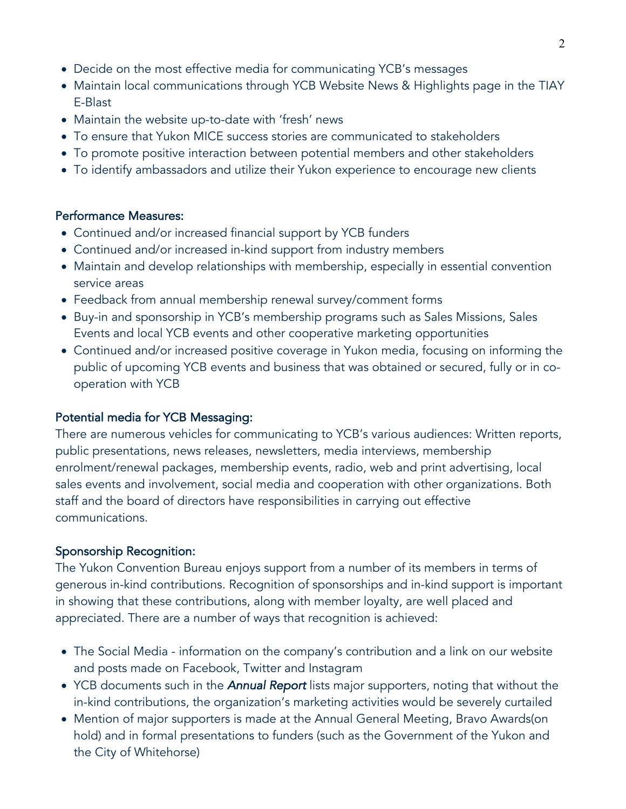- Decide on the most effective media for communicating YCB's messages
- Maintain local communications through YCB Website News & Highlights page in the TIAY E-Blast
- Maintain the website up-to-date with 'fresh' news
- To ensure that Yukon MICE success stories are communicated to stakeholders
- To promote positive interaction between potential members and other stakeholders
- To identify ambassadors and utilize their Yukon experience to encourage new clients

#### Performance Measures:

- Continued and/or increased financial support by YCB funders
- Continued and/or increased in-kind support from industry members
- Maintain and develop relationships with membership, especially in essential convention service areas
- Feedback from annual membership renewal survey/comment forms
- Buy-in and sponsorship in YCB's membership programs such as Sales Missions, Sales Events and local YCB events and other cooperative marketing opportunities
- Continued and/or increased positive coverage in Yukon media, focusing on informing the public of upcoming YCB events and business that was obtained or secured, fully or in cooperation with YCB

# Potential media for YCB Messaging:

There are numerous vehicles for communicating to YCB's various audiences: Written reports, public presentations, news releases, newsletters, media interviews, membership enrolment/renewal packages, membership events, radio, web and print advertising, local sales events and involvement, social media and cooperation with other organizations. Both staff and the board of directors have responsibilities in carrying out effective communications.

#### Sponsorship Recognition:

The Yukon Convention Bureau enjoys support from a number of its members in terms of generous in-kind contributions. Recognition of sponsorships and in-kind support is important in showing that these contributions, along with member loyalty, are well placed and appreciated. There are a number of ways that recognition is achieved:

- The Social Media information on the company's contribution and a link on our website and posts made on Facebook, Twitter and Instagram
- YCB documents such in the *Annual Report* lists major supporters, noting that without the in-kind contributions, the organization's marketing activities would be severely curtailed
- Mention of major supporters is made at the Annual General Meeting, Bravo Awards(on hold) and in formal presentations to funders (such as the Government of the Yukon and the City of Whitehorse)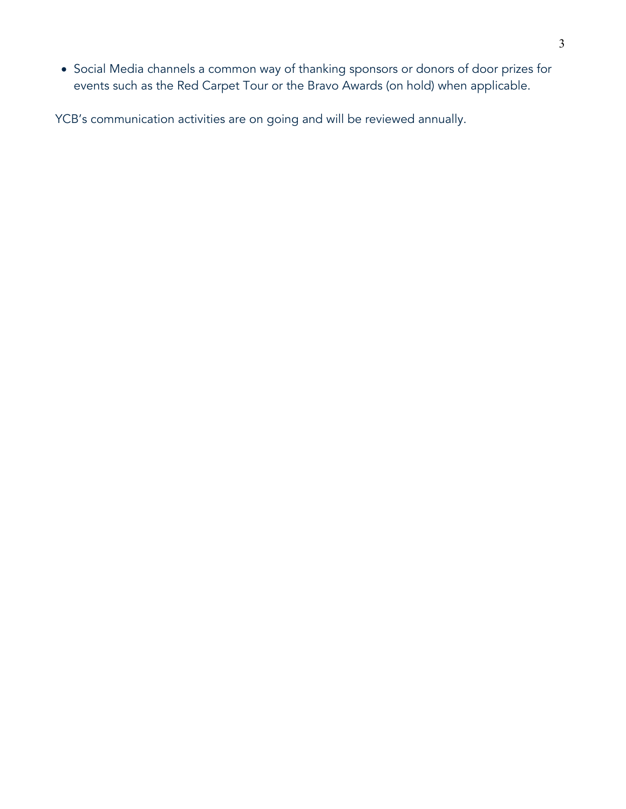• Social Media channels a common way of thanking sponsors or donors of door prizes for events such as the Red Carpet Tour or the Bravo Awards (on hold) when applicable.

YCB's communication activities are on going and will be reviewed annually.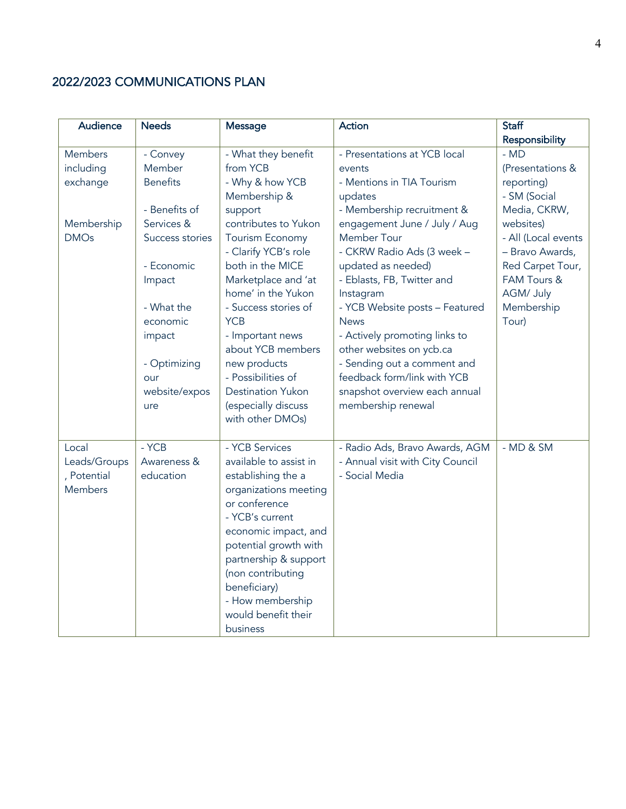# 2022/2023 COMMUNICATIONS PLAN

| Audience       | <b>Needs</b>    | Message                                        | Action                                                     | <b>Staff</b>        |
|----------------|-----------------|------------------------------------------------|------------------------------------------------------------|---------------------|
|                |                 |                                                |                                                            | Responsibility      |
| Members        | - Convey        | - What they benefit                            | - Presentations at YCB local                               | $-MD$               |
| including      | Member          | from YCB                                       | events                                                     | (Presentations &    |
| exchange       | <b>Benefits</b> | - Why & how YCB                                | - Mentions in TIA Tourism                                  | reporting)          |
|                |                 | Membership &                                   | updates                                                    | - SM (Social        |
|                | - Benefits of   | support                                        | - Membership recruitment &                                 | Media, CKRW,        |
| Membership     | Services &      | contributes to Yukon                           | engagement June / July / Aug                               | websites)           |
| <b>DMOs</b>    | Success stories | Tourism Economy                                | Member Tour                                                | - All (Local events |
|                |                 | - Clarify YCB's role                           | - CKRW Radio Ads (3 week -                                 | - Bravo Awards,     |
|                | - Economic      | both in the MICE                               | updated as needed)                                         | Red Carpet Tour,    |
|                | Impact          | Marketplace and 'at                            | - Eblasts, FB, Twitter and                                 | FAM Tours &         |
|                |                 | home' in the Yukon                             | Instagram                                                  | AGM/ July           |
|                | - What the      | - Success stories of                           | - YCB Website posts - Featured                             | Membership          |
|                | economic        | <b>YCB</b>                                     | <b>News</b>                                                | Tour)               |
|                | impact          | - Important news                               | - Actively promoting links to                              |                     |
|                |                 | about YCB members                              | other websites on ycb.ca                                   |                     |
|                | - Optimizing    | new products                                   | - Sending out a comment and<br>feedback form/link with YCB |                     |
|                | our             | - Possibilities of<br><b>Destination Yukon</b> |                                                            |                     |
|                | website/expos   | (especially discuss                            | snapshot overview each annual<br>membership renewal        |                     |
|                | ure             | with other DMOs)                               |                                                            |                     |
|                |                 |                                                |                                                            |                     |
| Local          | $-YCB$          | - YCB Services                                 | - Radio Ads, Bravo Awards, AGM                             | $-MD & SM$          |
| Leads/Groups   | Awareness &     | available to assist in                         | - Annual visit with City Council                           |                     |
| , Potential    | education       | establishing the a                             | - Social Media                                             |                     |
| <b>Members</b> |                 | organizations meeting                          |                                                            |                     |
|                |                 | or conference                                  |                                                            |                     |
|                |                 | - YCB's current                                |                                                            |                     |
|                |                 | economic impact, and                           |                                                            |                     |
|                |                 | potential growth with                          |                                                            |                     |
|                |                 | partnership & support                          |                                                            |                     |
|                |                 | (non contributing                              |                                                            |                     |
|                |                 | beneficiary)                                   |                                                            |                     |
|                |                 | - How membership                               |                                                            |                     |
|                |                 | would benefit their                            |                                                            |                     |
|                |                 | business                                       |                                                            |                     |